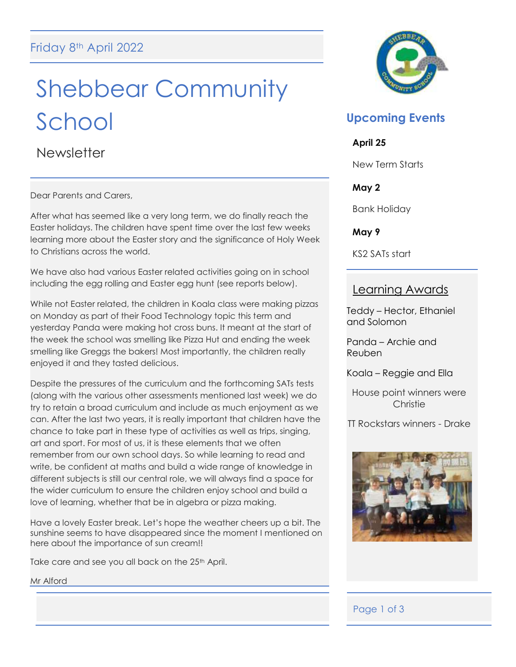# Shebbear Community School

**Newsletter** 

Dear Parents and Carers,

After what has seemed like a very long term, we do finally reach the Easter holidays. The children have spent time over the last few weeks learning more about the Easter story and the significance of Holy Week to Christians across the world.

We have also had various Easter related activities going on in school including the egg rolling and Easter egg hunt (see reports below).

While not Easter related, the children in Koala class were making pizzas on Monday as part of their Food Technology topic this term and yesterday Panda were making hot cross buns. It meant at the start of the week the school was smelling like Pizza Hut and ending the week smelling like Greggs the bakers! Most importantly, the children really enjoyed it and they tasted delicious.

Despite the pressures of the curriculum and the forthcoming SATs tests (along with the various other assessments mentioned last week) we do try to retain a broad curriculum and include as much enjoyment as we can. After the last two years, it is really important that children have the chance to take part in these type of activities as well as trips, singing, art and sport. For most of us, it is these elements that we often remember from our own school days. So while learning to read and write, be confident at maths and build a wide range of knowledge in different subjects is still our central role, we will always find a space for the wider curriculum to ensure the children enjoy school and build a love of learning, whether that be in algebra or pizza making.

Have a lovely Easter break. Let's hope the weather cheers up a bit. The sunshine seems to have disappeared since the moment I mentioned on here about the importance of sun cream!!

Take care and see you all back on the 25<sup>th</sup> April.

Mr Alford



## **Upcoming Events**

#### **April 25**

New Term Starts

## **May 2**

Bank Holiday

**May 9**

KS2 SATs start

## Learning Awards

Teddy – Hector, Ethaniel and Solomon

Panda – Archie and Reuben

Koala – Reggie and Ella

House point winners were **Christie** 

TT Rockstars winners - Drake



## Page 1 of 3

l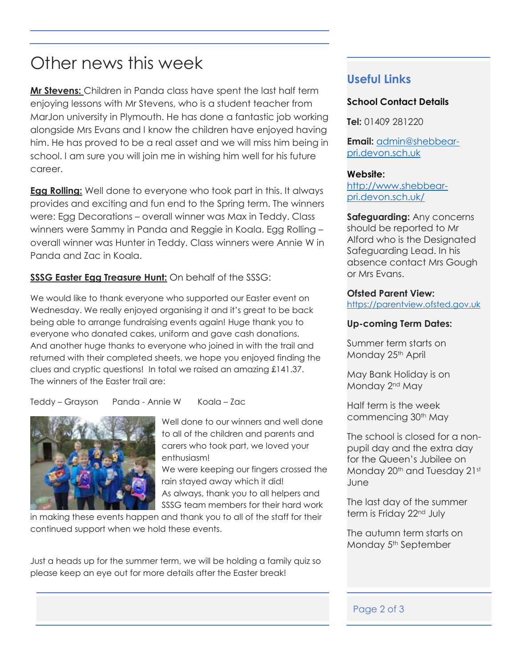## Other news this week

**Mr Stevens:** Children in Panda class have spent the last half term enjoying lessons with Mr Stevens, who is a student teacher from MarJon university in Plymouth. He has done a fantastic job working alongside Mrs Evans and I know the children have enjoyed having him. He has proved to be a real asset and we will miss him being in school. I am sure you will join me in wishing him well for his future career.

**Egg Rolling:** Well done to everyone who took part in this. It always provides and exciting and fun end to the Spring term. The winners were: Egg Decorations – overall winner was Max in Teddy. Class winners were Sammy in Panda and Reggie in Koala. Egg Rolling – overall winner was Hunter in Teddy. Class winners were Annie W in Panda and Zac in Koala.

## **SSSG Easter Egg Treasure Hunt:** On behalf of the SSSG:

We would like to thank everyone who supported our Easter event on Wednesday. We really enjoyed organising it and it's great to be back being able to arrange fundraising events again! Huge thank you to everyone who donated cakes, uniform and gave cash donations. And another huge thanks to everyone who joined in with the trail and returned with their completed sheets, we hope you enjoyed finding the clues and cryptic questions! In total we raised an amazing £141.37. The winners of the Easter trail are:

Teddy – Grayson Panda - Annie W Koala – Zac



Well done to our winners and well done to all of the children and parents and carers who took part, we loved your enthusiasm!

We were keeping our fingers crossed the rain stayed away which it did! As always, thank you to all helpers and SSSG team members for their hard work

in making these events happen and thank you to all of the staff for their continued support when we hold these events.

Just a heads up for the summer term, we will be holding a family quiz so please keep an eye out for more details after the Easter break!

## **Useful Links**

## **School Contact Details**

**Tel:** 01409 281220

**Email:** [admin@shebbear](mailto:admin@shebbear-pri.devon.sch.uk)[pri.devon.sch.uk](mailto:admin@shebbear-pri.devon.sch.uk)

#### **Website:**

[http://www.shebbear](http://www.shebbear-pri.devon.sch.uk/)[pri.devon.sch.uk/](http://www.shebbear-pri.devon.sch.uk/)

**Safeguarding:** Any concerns should be reported to Mr Alford who is the Designated Safeguarding Lead. In his absence contact Mrs Gough or Mrs Evans.

#### **Ofsted Parent View:**

[https://parentview.ofsted.gov.uk](https://parentview.ofsted.gov.uk/)

#### **Up-coming Term Dates:**

Summer term starts on Monday 25<sup>th</sup> April

May Bank Holiday is on Monday 2nd May

Half term is the week commencing 30th May

The school is closed for a nonpupil day and the extra day for the Queen's Jubilee on Monday 20<sup>th</sup> and Tuesday 21st June

The last day of the summer term is Friday 22nd July

The autumn term starts on Monday 5<sup>th</sup> September

#### Page 2 of 3